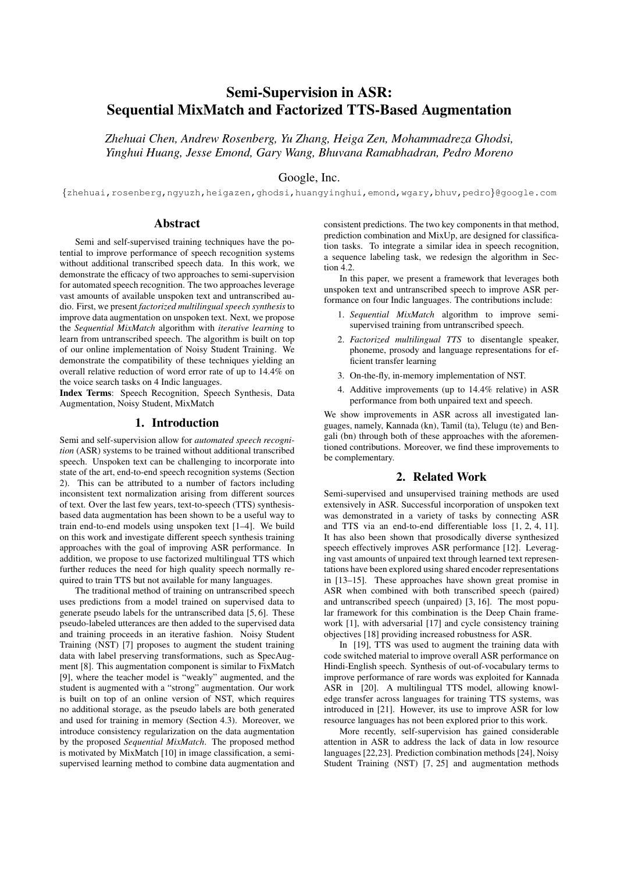# Semi-Supervision in ASR: Sequential MixMatch and Factorized TTS-Based Augmentation

*Zhehuai Chen, Andrew Rosenberg, Yu Zhang, Heiga Zen, Mohammadreza Ghodsi, Yinghui Huang, Jesse Emond, Gary Wang, Bhuvana Ramabhadran, Pedro Moreno*

# Google, Inc.

{zhehuai,rosenberg,ngyuzh,heigazen,ghodsi,huangyinghui,emond,wgary,bhuv,pedro}@google.com

### Abstract

Semi and self-supervised training techniques have the potential to improve performance of speech recognition systems without additional transcribed speech data. In this work, we demonstrate the efficacy of two approaches to semi-supervision for automated speech recognition. The two approaches leverage vast amounts of available unspoken text and untranscribed audio. First, we present *factorized multilingual speech synthesis*to improve data augmentation on unspoken text. Next, we propose the *Sequential MixMatch* algorithm with *iterative learning* to learn from untranscribed speech. The algorithm is built on top of our online implementation of Noisy Student Training. We demonstrate the compatibility of these techniques yielding an overall relative reduction of word error rate of up to 14.4% on the voice search tasks on 4 Indic languages.

Index Terms: Speech Recognition, Speech Synthesis, Data Augmentation, Noisy Student, MixMatch

## 1. Introduction

Semi and self-supervision allow for *automated speech recognition* (ASR) systems to be trained without additional transcribed speech. Unspoken text can be challenging to incorporate into state of the art, end-to-end speech recognition systems (Section 2). This can be attributed to a number of factors including inconsistent text normalization arising from different sources of text. Over the last few years, text-to-speech (TTS) synthesisbased data augmentation has been shown to be a useful way to train end-to-end models using unspoken text [1–4]. We build on this work and investigate different speech synthesis training approaches with the goal of improving ASR performance. In addition, we propose to use factorized multilingual TTS which further reduces the need for high quality speech normally required to train TTS but not available for many languages.

The traditional method of training on untranscribed speech uses predictions from a model trained on supervised data to generate pseudo labels for the untranscribed data [5, 6]. These pseudo-labeled utterances are then added to the supervised data and training proceeds in an iterative fashion. Noisy Student Training (NST) [7] proposes to augment the student training data with label preserving transformations, such as SpecAugment [8]. This augmentation component is similar to FixMatch [9], where the teacher model is "weakly" augmented, and the student is augmented with a "strong" augmentation. Our work is built on top of an online version of NST, which requires no additional storage, as the pseudo labels are both generated and used for training in memory (Section 4.3). Moreover, we introduce consistency regularization on the data augmentation by the proposed *Sequential MixMatch*. The proposed method is motivated by MixMatch [10] in image classification, a semisupervised learning method to combine data augmentation and consistent predictions. The two key components in that method, prediction combination and MixUp, are designed for classification tasks. To integrate a similar idea in speech recognition, a sequence labeling task, we redesign the algorithm in Section 4.2.

In this paper, we present a framework that leverages both unspoken text and untranscribed speech to improve ASR performance on four Indic languages. The contributions include:

- 1. *Sequential MixMatch* algorithm to improve semisupervised training from untranscribed speech.
- 2. *Factorized multilingual TTS* to disentangle speaker, phoneme, prosody and language representations for efficient transfer learning
- 3. On-the-fly, in-memory implementation of NST.
- 4. Additive improvements (up to 14.4% relative) in ASR performance from both unpaired text and speech.

We show improvements in ASR across all investigated languages, namely, Kannada (kn), Tamil (ta), Telugu (te) and Bengali (bn) through both of these approaches with the aforementioned contributions. Moreover, we find these improvements to be complementary.

# 2. Related Work

Semi-supervised and unsupervised training methods are used extensively in ASR. Successful incorporation of unspoken text was demonstrated in a variety of tasks by connecting ASR and TTS via an end-to-end differentiable loss [1, 2, 4, 11]. It has also been shown that prosodically diverse synthesized speech effectively improves ASR performance [12]. Leveraging vast amounts of unpaired text through learned text representations have been explored using shared encoder representations in [13–15]. These approaches have shown great promise in ASR when combined with both transcribed speech (paired) and untranscribed speech (unpaired) [3, 16]. The most popular framework for this combination is the Deep Chain framework [1], with adversarial [17] and cycle consistency training objectives [18] providing increased robustness for ASR.

In [19], TTS was used to augment the training data with code switched material to improve overall ASR performance on Hindi-English speech. Synthesis of out-of-vocabulary terms to improve performance of rare words was exploited for Kannada ASR in [20]. A multilingual TTS model, allowing knowledge transfer across languages for training TTS systems, was introduced in [21]. However, its use to improve ASR for low resource languages has not been explored prior to this work.

More recently, self-supervision has gained considerable attention in ASR to address the lack of data in low resource languages [22,23]. Prediction combination methods [24], Noisy Student Training (NST) [7, 25] and augmentation methods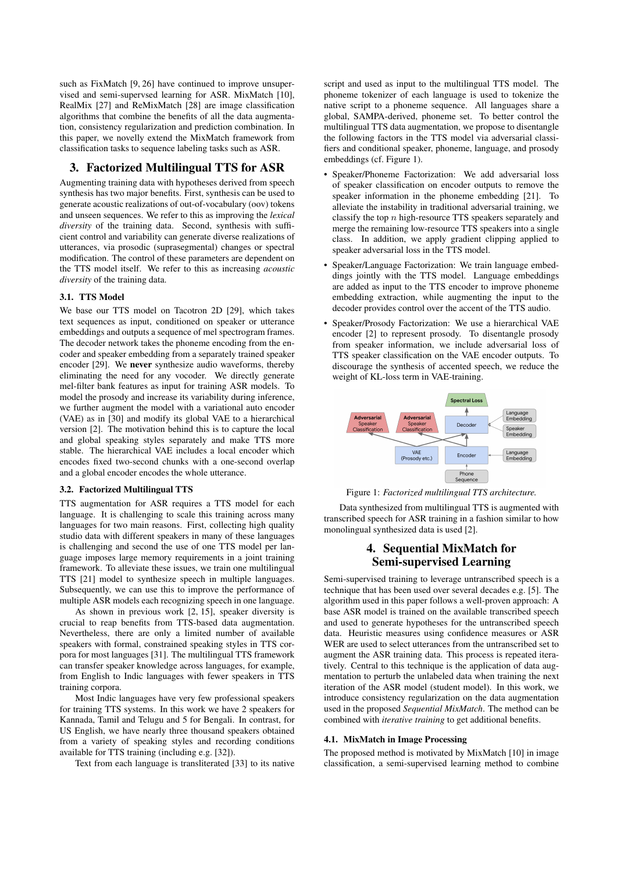such as FixMatch [9, 26] have continued to improve unsupervised and semi-supervsed learning for ASR. MixMatch [10], RealMix [27] and ReMixMatch [28] are image classification algorithms that combine the benefits of all the data augmentation, consistency regularization and prediction combination. In this paper, we novelly extend the MixMatch framework from classification tasks to sequence labeling tasks such as ASR.

# 3. Factorized Multilingual TTS for ASR

Augmenting training data with hypotheses derived from speech synthesis has two major benefits. First, synthesis can be used to generate acoustic realizations of out-of-vocabulary (oov) tokens and unseen sequences. We refer to this as improving the *lexical diversity* of the training data. Second, synthesis with sufficient control and variability can generate diverse realizations of utterances, via prosodic (suprasegmental) changes or spectral modification. The control of these parameters are dependent on the TTS model itself. We refer to this as increasing *acoustic diversity* of the training data.

### 3.1. TTS Model

We base our TTS model on Tacotron 2D [29], which takes text sequences as input, conditioned on speaker or utterance embeddings and outputs a sequence of mel spectrogram frames. The decoder network takes the phoneme encoding from the encoder and speaker embedding from a separately trained speaker encoder [29]. We never synthesize audio waveforms, thereby eliminating the need for any vocoder. We directly generate mel-filter bank features as input for training ASR models. To model the prosody and increase its variability during inference, we further augment the model with a variational auto encoder (VAE) as in [30] and modify its global VAE to a hierarchical version [2]. The motivation behind this is to capture the local and global speaking styles separately and make TTS more stable. The hierarchical VAE includes a local encoder which encodes fixed two-second chunks with a one-second overlap and a global encoder encodes the whole utterance.

#### 3.2. Factorized Multilingual TTS

TTS augmentation for ASR requires a TTS model for each language. It is challenging to scale this training across many languages for two main reasons. First, collecting high quality studio data with different speakers in many of these languages is challenging and second the use of one TTS model per language imposes large memory requirements in a joint training framework. To alleviate these issues, we train one multilingual TTS [21] model to synthesize speech in multiple languages. Subsequently, we can use this to improve the performance of multiple ASR models each recognizing speech in one language.

As shown in previous work [2, 15], speaker diversity is crucial to reap benefits from TTS-based data augmentation. Nevertheless, there are only a limited number of available speakers with formal, constrained speaking styles in TTS corpora for most languages [31]. The multilingual TTS framework can transfer speaker knowledge across languages, for example, from English to Indic languages with fewer speakers in TTS training corpora.

Most Indic languages have very few professional speakers for training TTS systems. In this work we have 2 speakers for Kannada, Tamil and Telugu and 5 for Bengali. In contrast, for US English, we have nearly three thousand speakers obtained from a variety of speaking styles and recording conditions available for TTS training (including e.g. [32]).

Text from each language is transliterated [33] to its native

script and used as input to the multilingual TTS model. The phoneme tokenizer of each language is used to tokenize the native script to a phoneme sequence. All languages share a global, SAMPA-derived, phoneme set. To better control the multilingual TTS data augmentation, we propose to disentangle the following factors in the TTS model via adversarial classifiers and conditional speaker, phoneme, language, and prosody embeddings (cf. Figure 1).

- Speaker/Phoneme Factorization: We add adversarial loss of speaker classification on encoder outputs to remove the speaker information in the phoneme embedding [21]. To alleviate the instability in traditional adversarial training, we classify the top  $n$  high-resource TTS speakers separately and merge the remaining low-resource TTS speakers into a single class. In addition, we apply gradient clipping applied to speaker adversarial loss in the TTS model.
- Speaker/Language Factorization: We train language embeddings jointly with the TTS model. Language embeddings are added as input to the TTS encoder to improve phoneme embedding extraction, while augmenting the input to the decoder provides control over the accent of the TTS audio.
- Speaker/Prosody Factorization: We use a hierarchical VAE encoder [2] to represent prosody. To disentangle prosody from speaker information, we include adversarial loss of TTS speaker classification on the VAE encoder outputs. To discourage the synthesis of accented speech, we reduce the weight of KL-loss term in VAE-training.



Figure 1: *Factorized multilingual TTS architecture.*

Data synthesized from multilingual TTS is augmented with transcribed speech for ASR training in a fashion similar to how monolingual synthesized data is used [2].

# 4. Sequential MixMatch for Semi-supervised Learning

Semi-supervised training to leverage untranscribed speech is a technique that has been used over several decades e.g. [5]. The algorithm used in this paper follows a well-proven approach: A base ASR model is trained on the available transcribed speech and used to generate hypotheses for the untranscribed speech data. Heuristic measures using confidence measures or ASR WER are used to select utterances from the untranscribed set to augment the ASR training data. This process is repeated iteratively. Central to this technique is the application of data augmentation to perturb the unlabeled data when training the next iteration of the ASR model (student model). In this work, we introduce consistency regularization on the data augmentation used in the proposed *Sequential MixMatch*. The method can be combined with *iterative training* to get additional benefits.

#### 4.1. MixMatch in Image Processing

The proposed method is motivated by MixMatch [10] in image classification, a semi-supervised learning method to combine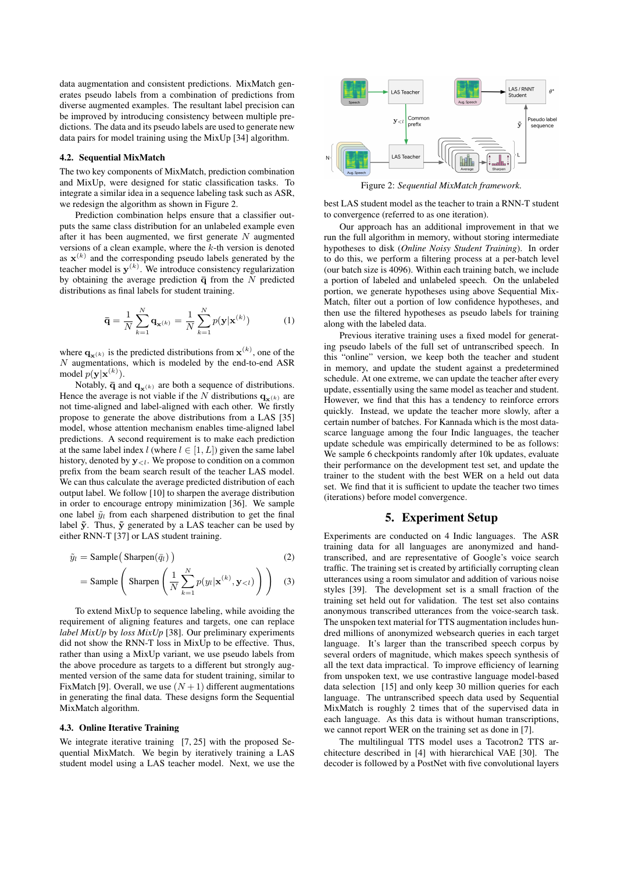data augmentation and consistent predictions. MixMatch generates pseudo labels from a combination of predictions from diverse augmented examples. The resultant label precision can be improved by introducing consistency between multiple predictions. The data and its pseudo labels are used to generate new data pairs for model training using the MixUp [34] algorithm.

#### 4.2. Sequential MixMatch

The two key components of MixMatch, prediction combination and MixUp, were designed for static classification tasks. To integrate a similar idea in a sequence labeling task such as ASR, we redesign the algorithm as shown in Figure 2.

Prediction combination helps ensure that a classifier outputs the same class distribution for an unlabeled example even after it has been augmented, we first generate  $N$  augmented versions of a clean example, where the  $k$ -th version is denoted as  $\mathbf{x}^{(k)}$  and the corresponding pseudo labels generated by the teacher model is  $y^{(k)}$ . We introduce consistency regularization by obtaining the average prediction  $\bar{q}$  from the N predicted distributions as final labels for student training.

$$
\bar{\mathbf{q}} = \frac{1}{N} \sum_{k=1}^{N} \mathbf{q}_{\mathbf{x}^{(k)}} = \frac{1}{N} \sum_{k=1}^{N} p(\mathbf{y} | \mathbf{x}^{(k)})
$$
(1)

where  $\mathbf{q}_{\mathbf{x}^{(k)}}$  is the predicted distributions from  $\mathbf{x}^{(k)}$ , one of the  $N$  augmentations, which is modeled by the end-to-end ASR model  $p(\mathbf{y}|\mathbf{x}^{(k)})$ .

Notably,  $\bar{\mathbf{q}}$  and  $\mathbf{q}_{\mathbf{x}(k)}$  are both a sequence of distributions. Hence the average is not viable if the N distributions  $\mathbf{q}_{\mathbf{x}^{(k)}}$  are not time-aligned and label-aligned with each other. We firstly propose to generate the above distributions from a LAS [35] model, whose attention mechanism enables time-aligned label predictions. A second requirement is to make each prediction at the same label index l (where  $l \in [1, L]$ ) given the same label history, denoted by  $y_{\leq l}$ . We propose to condition on a common prefix from the beam search result of the teacher LAS model. We can thus calculate the average predicted distribution of each output label. We follow [10] to sharpen the average distribution in order to encourage entropy minimization [36]. We sample one label  $\tilde{y}_l$  from each sharpened distribution to get the final label  $\tilde{y}$ . Thus,  $\tilde{y}$  generated by a LAS teacher can be used by either RNN-T [37] or LAS student training.

$$
\tilde{y}_l = \text{Sample}(\text{Sharpen}(\bar{q}_l))
$$
\n(2)

$$
= \text{Sample}\left(\text{Sharpen}\left(\frac{1}{N}\sum_{k=1}^{N}p(y_l|\mathbf{x}^{(k)}, \mathbf{y}_{< l})\right)\right) \tag{3}
$$

To extend MixUp to sequence labeling, while avoiding the requirement of aligning features and targets, one can replace *label MixUp* by *loss MixUp* [38]. Our preliminary experiments did not show the RNN-T loss in MixUp to be effective. Thus, rather than using a MixUp variant, we use pseudo labels from the above procedure as targets to a different but strongly augmented version of the same data for student training, similar to FixMatch [9]. Overall, we use  $(N + 1)$  different augmentations in generating the final data. These designs form the Sequential MixMatch algorithm.

#### 4.3. Online Iterative Training

We integrate iterative training [7, 25] with the proposed Sequential MixMatch. We begin by iteratively training a LAS student model using a LAS teacher model. Next, we use the



Figure 2: *Sequential MixMatch framework.*

best LAS student model as the teacher to train a RNN-T student to convergence (referred to as one iteration).

Our approach has an additional improvement in that we run the full algorithm in memory, without storing intermediate hypotheses to disk (*Online Noisy Student Training*). In order to do this, we perform a filtering process at a per-batch level (our batch size is 4096). Within each training batch, we include a portion of labeled and unlabeled speech. On the unlabeled portion, we generate hypotheses using above Sequential Mix-Match, filter out a portion of low confidence hypotheses, and then use the filtered hypotheses as pseudo labels for training along with the labeled data.

Previous iterative training uses a fixed model for generating pseudo labels of the full set of untranscribed speech. In this "online" version, we keep both the teacher and student in memory, and update the student against a predetermined schedule. At one extreme, we can update the teacher after every update, essentially using the same model as teacher and student. However, we find that this has a tendency to reinforce errors quickly. Instead, we update the teacher more slowly, after a certain number of batches. For Kannada which is the most datascarce language among the four Indic languages, the teacher update schedule was empirically determined to be as follows: We sample 6 checkpoints randomly after 10k updates, evaluate their performance on the development test set, and update the trainer to the student with the best WER on a held out data set. We find that it is sufficient to update the teacher two times (iterations) before model convergence.

# 5. Experiment Setup

Experiments are conducted on 4 Indic languages. The ASR training data for all languages are anonymized and handtranscribed, and are representative of Google's voice search traffic. The training set is created by artificially corrupting clean utterances using a room simulator and addition of various noise styles [39]. The development set is a small fraction of the training set held out for validation. The test set also contains anonymous transcribed utterances from the voice-search task. The unspoken text material for TTS augmentation includes hundred millions of anonymized websearch queries in each target language. It's larger than the transcribed speech corpus by several orders of magnitude, which makes speech synthesis of all the text data impractical. To improve efficiency of learning from unspoken text, we use contrastive language model-based data selection [15] and only keep 30 million queries for each language. The untranscribed speech data used by Sequential MixMatch is roughly 2 times that of the supervised data in each language. As this data is without human transcriptions, we cannot report WER on the training set as done in [7].

The multilingual TTS model uses a Tacotron2 TTS architecture described in [4] with hierarchical VAE [30]. The decoder is followed by a PostNet with five convolutional layers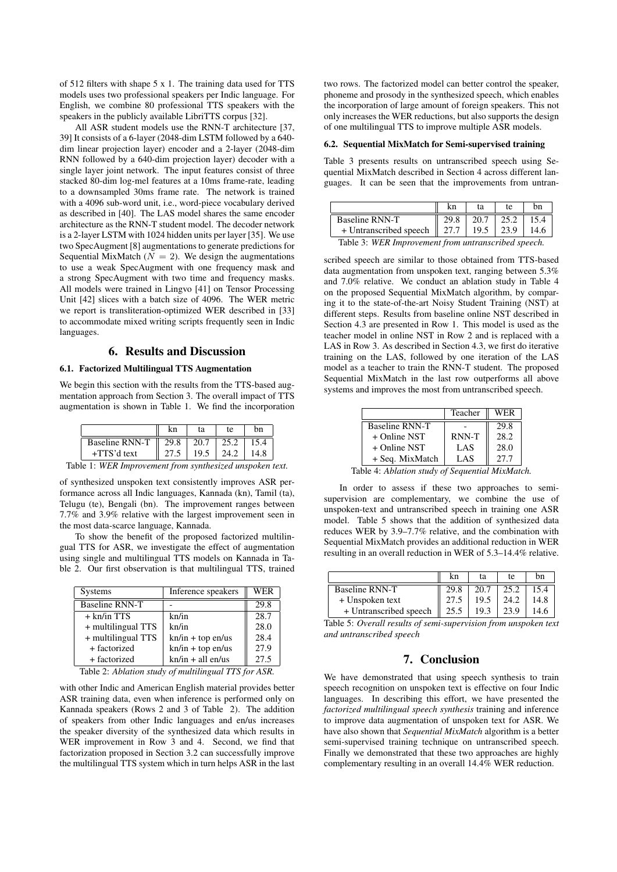of 512 filters with shape 5 x 1. The training data used for TTS models uses two professional speakers per Indic language. For English, we combine 80 professional TTS speakers with the speakers in the publicly available LibriTTS corpus [32].

All ASR student models use the RNN-T architecture [37, 39] It consists of a 6-layer (2048-dim LSTM followed by a 640 dim linear projection layer) encoder and a 2-layer (2048-dim RNN followed by a 640-dim projection layer) decoder with a single layer joint network. The input features consist of three stacked 80-dim log-mel features at a 10ms frame-rate, leading to a downsampled 30ms frame rate. The network is trained with a 4096 sub-word unit, i.e., word-piece vocabulary derived as described in [40]. The LAS model shares the same encoder architecture as the RNN-T student model. The decoder network is a 2-layer LSTM with 1024 hidden units per layer [35]. We use two SpecAugment [8] augmentations to generate predictions for Sequential MixMatch ( $N = 2$ ). We design the augmentations to use a weak SpecAugment with one frequency mask and a strong SpecAugment with two time and frequency masks. All models were trained in Lingvo [41] on Tensor Processing Unit [42] slices with a batch size of 4096. The WER metric we report is transliteration-optimized WER described in [33] to accommodate mixed writing scripts frequently seen in Indic languages.

### 6. Results and Discussion

### 6.1. Factorized Multilingual TTS Augmentation

We begin this section with the results from the TTS-based augmentation approach from Section 3. The overall impact of TTS augmentation is shown in Table 1. We find the incorporation

|                | kn   | ta   | te   | hn   |
|----------------|------|------|------|------|
| Baseline RNN-T | 29.8 | 20.7 | 25.2 |      |
| $+TTS'd$ text  |      | 19.5 | 24.2 | 14.8 |

Table 1: *WER Improvement from synthesized unspoken text.*

of synthesized unspoken text consistently improves ASR performance across all Indic languages, Kannada (kn), Tamil (ta), Telugu (te), Bengali (bn). The improvement ranges between 7.7% and 3.9% relative with the largest improvement seen in the most data-scarce language, Kannada.

To show the benefit of the proposed factorized multilingual TTS for ASR, we investigate the effect of augmentation using single and multilingual TTS models on Kannada in Table 2. Our first observation is that multilingual TTS, trained

| <b>Systems</b>                                               | Inference speakers  | WER  |  |  |
|--------------------------------------------------------------|---------------------|------|--|--|
| <b>Baseline RNN-T</b>                                        |                     | 29.8 |  |  |
| $+$ kn/in TTS                                                | kn/in               | 28.7 |  |  |
| + multilingual TTS                                           | kn/in               | 28.0 |  |  |
| + multilingual TTS                                           | $kn/in + top en-us$ | 28.4 |  |  |
| + factorized                                                 | $kn/in + top en/us$ | 27.9 |  |  |
| + factorized                                                 | $kn/in + all en-us$ | 27.5 |  |  |
| Table 2. Ablation study of multilingual TTS for $\Lambda$ SD |                     |      |  |  |

Table 2: *Ablation study of multilingual TTS for ASR.*

with other Indic and American English material provides better ASR training data, even when inference is performed only on Kannada speakers (Rows 2 and 3 of Table 2). The addition of speakers from other Indic languages and en/us increases the speaker diversity of the synthesized data which results in WER improvement in Row 3 and 4. Second, we find that factorization proposed in Section 3.2 can successfully improve the multilingual TTS system which in turn helps ASR in the last two rows. The factorized model can better control the speaker, phoneme and prosody in the synthesized speech, which enables the incorporation of large amount of foreign speakers. This not only increases the WER reductions, but also supports the design of one multilingual TTS to improve multiple ASR models.

#### 6.2. Sequential MixMatch for Semi-supervised training

Table 3 presents results on untranscribed speech using Sequential MixMatch described in Section 4 across different languages. It can be seen that the improvements from untran-

|                        |                  | ta   | te   | bn   |
|------------------------|------------------|------|------|------|
| Baseline RNN-T         | 29.8             | 20.7 | 25.2 |      |
| + Untranscribed speech | $\parallel$ 27.7 | 19.5 |      | 14.6 |
|                        |                  |      | .    |      |

Table 3: *WER Improvement from untranscribed speech.*

scribed speech are similar to those obtained from TTS-based data augmentation from unspoken text, ranging between 5.3% and 7.0% relative. We conduct an ablation study in Table 4 on the proposed Sequential MixMatch algorithm, by comparing it to the state-of-the-art Noisy Student Training (NST) at different steps. Results from baseline online NST described in Section 4.3 are presented in Row 1. This model is used as the teacher model in online NST in Row 2 and is replaced with a LAS in Row 3. As described in Section 4.3, we first do iterative training on the LAS, followed by one iteration of the LAS model as a teacher to train the RNN-T student. The proposed Sequential MixMatch in the last row outperforms all above systems and improves the most from untranscribed speech.

|                                                  | Teacher | WER  |
|--------------------------------------------------|---------|------|
| <b>Baseline RNN-T</b>                            |         | 29.8 |
| $+$ Online NST                                   | RNN-T   | 28.2 |
| $+$ Online NST                                   | LAS     | 28.0 |
| + Seq. MixMatch                                  | LAS     | 27.7 |
| $\lambda$ - Ablation study of Sequential MixMate |         |      |

Table 4: *Ablation study of Sequential MixMatch.*

In order to assess if these two approaches to semisupervision are complementary, we combine the use of unspoken-text and untranscribed speech in training one ASR model. Table 5 shows that the addition of synthesized data reduces WER by 3.9–7.7% relative, and the combination with Sequential MixMatch provides an additional reduction in WER resulting in an overall reduction in WER of 5.3–14.4% relative.

|                        | kn   | ta   | te   | bn |
|------------------------|------|------|------|----|
| Baseline RNN-T         |      | 20.7 |      |    |
| + Unspoken text        |      | 19.5 | 24.2 |    |
| + Untranscribed speech | 25.5 | 19.3 |      |    |

Table 5: *Overall results of semi-supervision from unspoken text and untranscribed speech*

# 7. Conclusion

We have demonstrated that using speech synthesis to train speech recognition on unspoken text is effective on four Indic languages. In describing this effort, we have presented the *factorized multilingual speech synthesis* training and inference to improve data augmentation of unspoken text for ASR. We have also shown that *Sequential MixMatch* algorithm is a better semi-supervised training technique on untranscribed speech. Finally we demonstrated that these two approaches are highly complementary resulting in an overall 14.4% WER reduction.